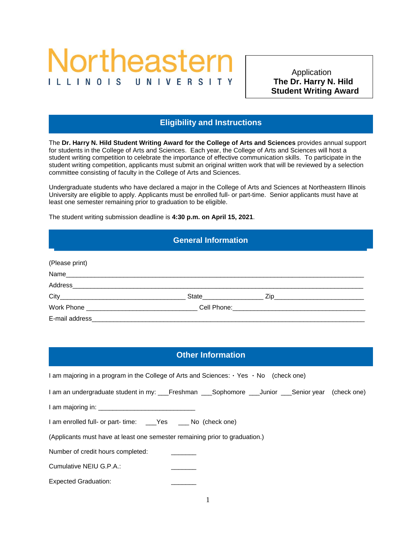# Northeastern ILLINOIS

**Eligibility and Instructions The Dr. Harry N. Hild**  Application  **Student Writing Award** 

# **Eligibility and Instructions**

The **Dr. Harry N. Hild Student Writing Award for the College of Arts and Sciences** provides annual support for students in the College of Arts and Sciences. Each year, the College of Arts and Sciences will host a student writing competition to celebrate the importance of effective communication skills. To participate in the student writing competition, applicants must submit an original written work that will be reviewed by a selection committee consisting of faculty in the College of Arts and Sciences.

Undergraduate students who have declared a major in the College of Arts and Sciences at Northeastern Illinois University are eligible to apply. Applicants must be enrolled full- or part-time. Senior applicants must have at least one semester remaining prior to graduation to be eligible.

The student writing submission deadline is **4:30 p.m. on April 15, 2021**.

Other Information

# **General Information**

General Information **Eligibility and Instructions**

| (Please print) |  |
|----------------|--|
|                |  |
|                |  |
|                |  |
|                |  |
| E-mail address |  |

# **Other Information**

| I am majoring in a program in the College of Arts and Sciences: $\cdot$ Yes $\cdot$ No (check one) |  |  |  |
|----------------------------------------------------------------------------------------------------|--|--|--|
| I am an undergraduate student in my: __Freshman ___Sophomore ___Junior ___Senior year (check one)  |  |  |  |
|                                                                                                    |  |  |  |
| I am enrolled full- or part- time: ___Yes ___ No (check one)                                       |  |  |  |
| (Applicants must have at least one semester remaining prior to graduation.)                        |  |  |  |
| Number of credit hours completed:                                                                  |  |  |  |
| Cumulative NEIU G.P.A.:                                                                            |  |  |  |
| <b>Expected Graduation:</b>                                                                        |  |  |  |